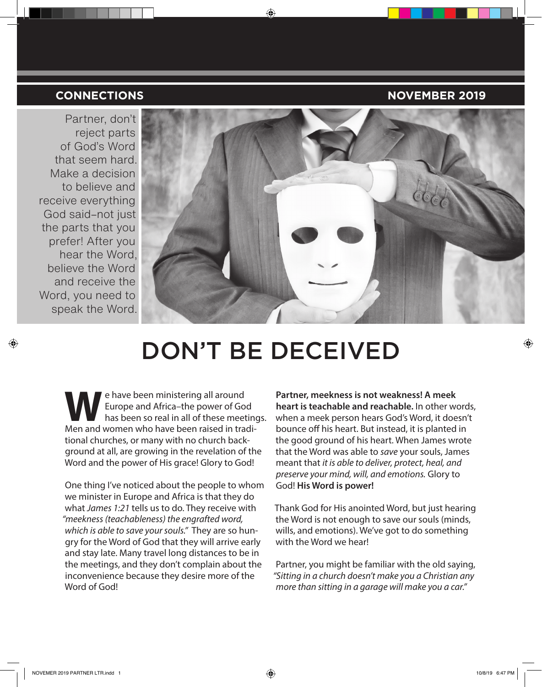## **CONNECTIONS NOVEMBER 2019**

Partner, don't reject parts of God's Word that seem hard. Make a decision to believe and receive everything God said–not just the parts that you prefer! After you hear the Word, believe the Word and receive the Word, you need to speak the Word.



# DON'T BE DECEIVED

Europe and Africa-the power of Go<br>has been so real in all of these meet<br>Men and women who have been raised in tra Europe and Africa–the power of God has been so real in all of these meetings. Men and women who have been raised in traditional churches, or many with no church background at all, are growing in the revelation of the Word and the power of His grace! Glory to God!

One thing I've noticed about the people to whom we minister in Europe and Africa is that they do what *James 1:21* tells us to do. They receive with *"meekness (teachableness) the engrafted word, which is able to save your souls."* They are so hungry for the Word of God that they will arrive early and stay late. Many travel long distances to be in the meetings, and they don't complain about the inconvenience because they desire more of the Word of God!

**Partner, meekness is not weakness! A meek heart is teachable and reachable.** In other words, when a meek person hears God's Word, it doesn't bounce off his heart. But instead, it is planted in the good ground of his heart. When James wrote that the Word was able to *save* your souls, James meant that *it is able to deliver, protect, heal, and preserve your mind, will, and emotions.* Glory to God! **His Word is power!**

Thank God for His anointed Word, but just hearing the Word is not enough to save our souls (minds, wills, and emotions). We've got to do something with the Word we hear!

Partner, you might be familiar with the old saying, *"Sitting in a church doesn't make you a Christian any more than sitting in a garage will make you a car."*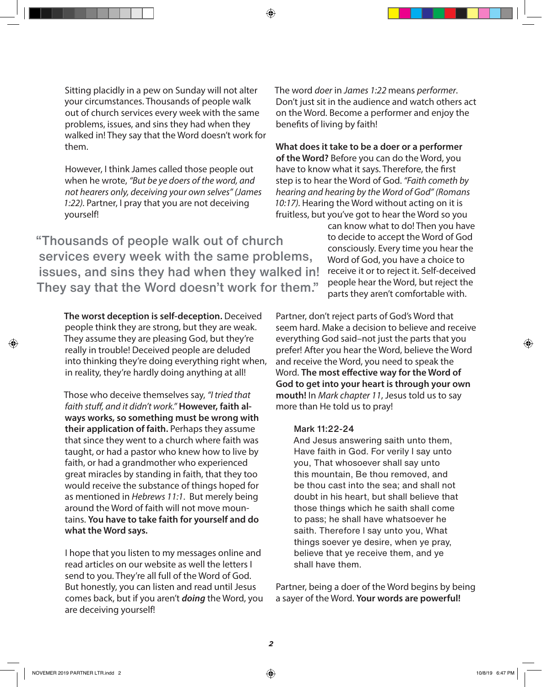Sitting placidly in a pew on Sunday will not alter your circumstances. Thousands of people walk out of church services every week with the same problems, issues, and sins they had when they walked in! They say that the Word doesn't work for them.

However, I think James called those people out when he wrote, *"But be ye doers of the word, and not hearers only, deceiving your own selves" (James 1:22).* Partner, I pray that you are not deceiving yourself!

"Thousands of people walk out of church services every week with the same problems, issues, and sins they had when they walked in! They say that the Word doesn't work for them."

**The worst deception is self-deception.** Deceived people think they are strong, but they are weak. They assume they are pleasing God, but they're really in trouble! Deceived people are deluded into thinking they're doing everything right when, in reality, they're hardly doing anything at all!

Those who deceive themselves say, *"I tried that faith stuff, and it didn't work."* **However, faith always works, so something must be wrong with their application of faith.** Perhaps they assume that since they went to a church where faith was taught, or had a pastor who knew how to live by faith, or had a grandmother who experienced great miracles by standing in faith, that they too would receive the substance of things hoped for as mentioned in *Hebrews 11:1*. But merely being around the Word of faith will not move mountains. **You have to take faith for yourself and do what the Word says.** 

I hope that you listen to my messages online and read articles on our website as well the letters I send to you. They're all full of the Word of God. But honestly, you can listen and read until Jesus comes back, but if you aren't *doing* the Word, you are deceiving yourself!

The word *doer* in *James 1:22* means *performer*. Don't just sit in the audience and watch others act on the Word. Become a performer and enjoy the benefits of living by faith!

**What does it take to be a doer or a performer of the Word?** Before you can do the Word, you have to know what it says. Therefore, the first step is to hear the Word of God. *"Faith cometh by hearing and hearing by the Word of God" (Romans*  10:17). Hearing the Word without acting on it is fruitless, but you've got to hear the Word so you

> can know what to do! Then you have to decide to accept the Word of God consciously. Every time you hear the Word of God, you have a choice to receive it or to reject it. Self-deceived people hear the Word, but reject the parts they aren't comfortable with.

Partner, don't reject parts of God's Word that seem hard. Make a decision to believe and receive everything God said-not just the parts that you prefer! After you hear the Word, believe the Word and receive the Word, you need to speak the Word. **The most effective way for the Word of God to get into your heart is through your own mouth!** In *Mark chapter 11*, Jesus told us to say more than He told us to pray!

### Mark 11:22-24

And Jesus answering saith unto them, Have faith in God. For verily I say unto you, That whosoever shall say unto this mountain, Be thou removed, and be thou cast into the sea; and shall not doubt in his heart, but shall believe that those things which he saith shall come to pass; he shall have whatsoever he saith. Therefore I say unto you, What things soever ye desire, when ye pray, believe that ye receive them, and ye shall have them.

Partner, being a doer of the Word begins by being a sayer of the Word. **Your words are powerful!**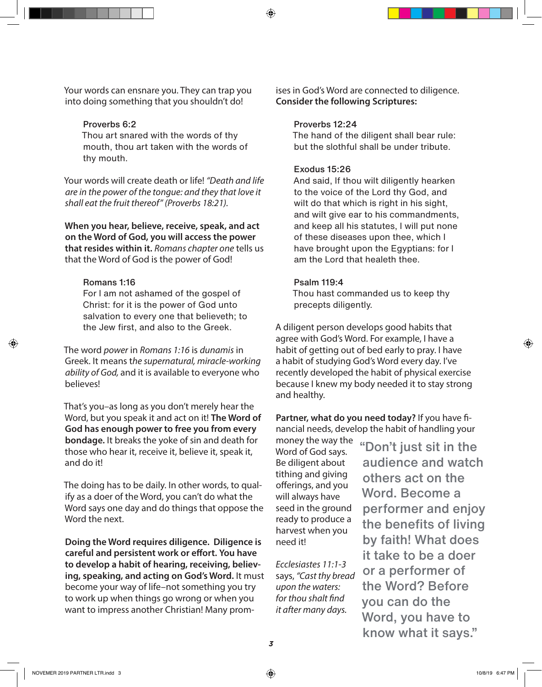Your words can ensnare you. They can trap you into doing something that you shouldn't do!

#### Proverbs 6:2

Thou art snared with the words of thy mouth, thou art taken with the words of thy mouth.

Your words will create death or life! *"Death and life are in the power of the tongue: and they that love it shall eat the fruit thereof" (Proverbs 18:21).*

**When you hear, believe, receive, speak, and act on the Word of God, you will access the power that resides within it.** *Romans chapter one* tells us that the Word of God is the power of God!

#### Romans 1:16

For I am not ashamed of the gospel of Christ: for it is the power of God unto salvation to every one that believeth; to the Jew first, and also to the Greek.

The word *power* in *Romans 1:16* is *dunamis* in Greek. It means t*he supernatural, miracle-working ability of God,* and it is available to everyone who believes!

That's you–as long as you don't merely hear the Word, but you speak it and act on it! **The Word of God has enough power to free you from every bondage.** It breaks the yoke of sin and death for those who hear it, receive it, believe it, speak it, and do it!

The doing has to be daily. In other words, to qualify as a doer of the Word, you can't do what the Word says one day and do things that oppose the Word the next.

**Doing the Word requires diligence. Diligence is careful and persistent work or effort. You have to develop a habit of hearing, receiving, believing, speaking, and acting on God's Word.** It must become your way of life–not something you try to work up when things go wrong or when you want to impress another Christian! Many prom-

ises in God's Word are connected to diligence. **Consider the following Scriptures:**

#### Proverbs 12:24

The hand of the diligent shall bear rule: but the slothful shall be under tribute.

#### Exodus 15:26

And said, If thou wilt diligently hearken to the voice of the Lord thy God, and wilt do that which is right in his sight, and wilt give ear to his commandments, and keep all his statutes, I will put none of these diseases upon thee, which I have brought upon the Egyptians: for I am the Lord that healeth thee.

#### Psalm 119:4

Thou hast commanded us to keep thy precepts diligently.

A diligent person develops good habits that agree with God's Word. For example, I have a habit of getting out of bed early to pray. I have a habit of studying God's Word every day. I've recently developed the habit of physical exercise because I knew my body needed it to stay strong and healthy.

**Partner, what do you need today?** If you have financial needs, develop the habit of handling your

money the way the Word of God says. Be diligent about tithing and giving offerings, and you will always have seed in the ground ready to produce a harvest when you need it!

*Ecclesiastes 11:1-3* says, *"Cast thy bread upon the waters: for thou shalt find it after many days.* 

"Don't just sit in the audience and watch others act on the Word. Become a performer and enjoy the benefits of living by faith! What does it take to be a doer or a performer of the Word? Before you can do the Word, you have to know what it says."